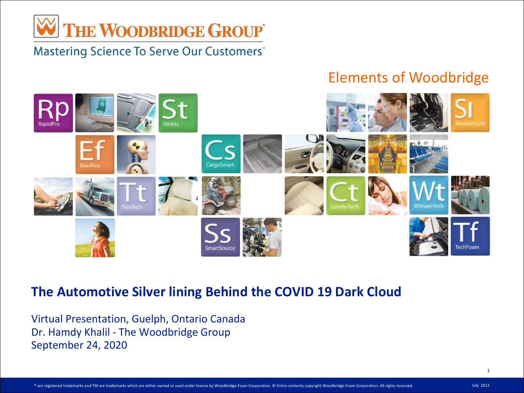

#### Elements of Woodbridge



#### **The Automotive Silver lining Behind the COVID 19 Dark Cloud**

Virtual Presentation, Guelph, Ontario Canada Dr. Hamdy Khalil - The Woodbridge Group September 24, 2020

® are registered trademarks and TM are trademarks which are either owned or used under license by Woodbridge Foam Corporation. © Entire contents copyright Woodbridge Foam Corporation. All rights reserved. July 2013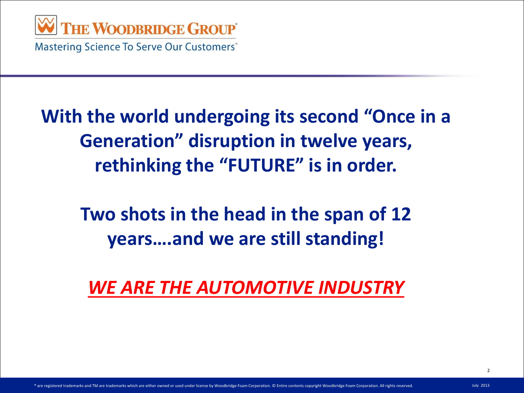

### **With the world undergoing its second "Once in a Generation" disruption in twelve years, rethinking the "FUTURE" is in order.**

### **Two shots in the head in the span of 12 years….and we are still standing!**

*WE ARE THE AUTOMOTIVE INDUSTRY*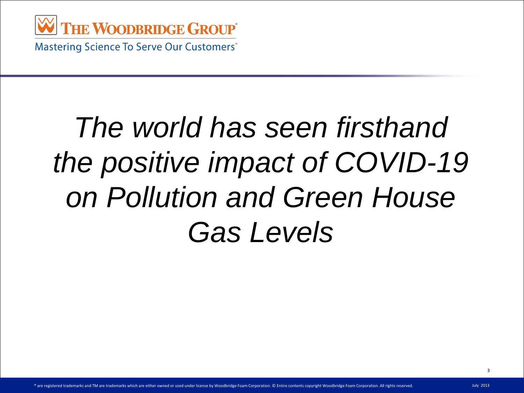

## *The world has seen firsthand the positive impact of COVID-19 on Pollution and Green House Gas Levels*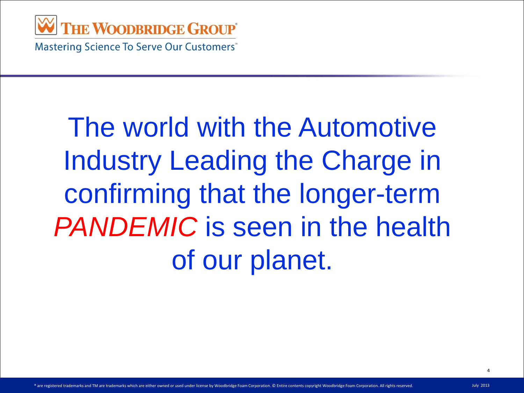

## The world with the Automotive Industry Leading the Charge in confirming that the longer-term *PANDEMIC* is seen in the health of our planet.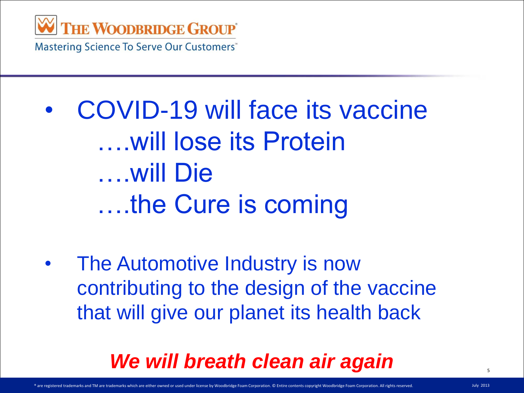

• COVID-19 will face its vaccine ….will lose its Protein ….will Die ….the Cure is coming

• The Automotive Industry is now contributing to the design of the vaccine that will give our planet its health back

#### *We will breath clean air again*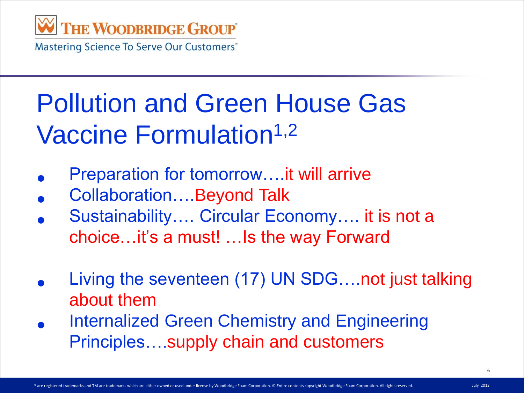

### Pollution and Green House Gas Vaccine Formulation<sup>1,2</sup>

- Preparation for tomorrow….it will arrive
- Collaboration….Beyond Talk
- Sustainability…. Circular Economy…. it is not a choice…it's a must! …Is the way Forward
- Living the seventeen (17) UN SDG….not just talking about them
- Internalized Green Chemistry and Engineering Principles….supply chain and customers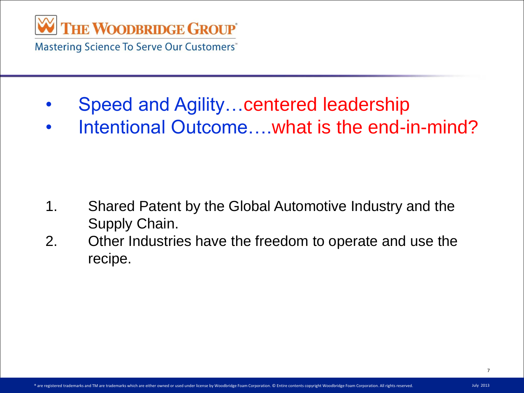

- Speed and Agility…centered leadership
- Intentional Outcome….what is the end-in-mind?

- 1. Shared Patent by the Global Automotive Industry and the Supply Chain.
- 2. Other Industries have the freedom to operate and use the recipe.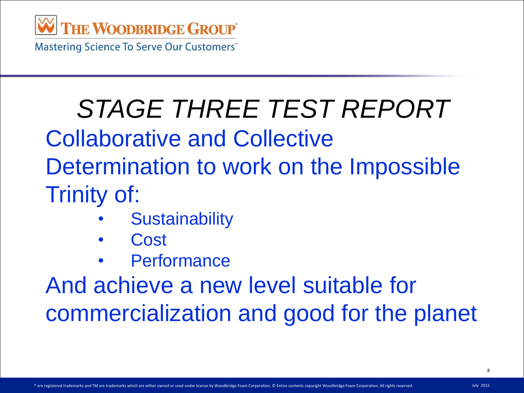

# *STAGE THREE TEST REPORT*

Collaborative and Collective

Determination to work on the Impossible Trinity of:

- **Sustainability**
- **Cost**
- **Performance**

And achieve a new level suitable for commercialization and good for the planet